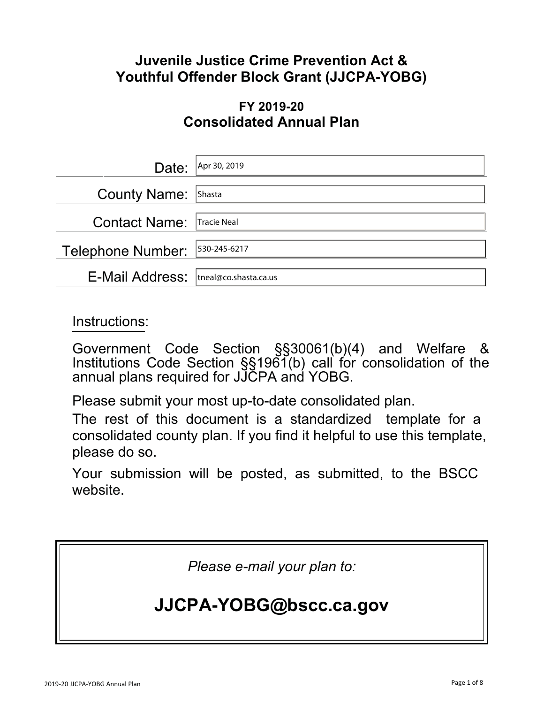### **Juvenile Justice Crime Prevention Act & Youthful Offender Block Grant (JJCPA-YOBG)**

### **FY 2019-20 Consolidated Annual Plan**

| Date:                           | Apr 30, 2019          |
|---------------------------------|-----------------------|
| <b>County Name:</b>             | Shasta                |
| <b>Contact Name:</b>            | Tracie Neal           |
| Telephone Number:  530-245-6217 |                       |
| E-Mail Address:                 | tneal@co.shasta.ca.us |

Instructions:

Government Code Section §§30061(b)(4) and Welfare & Institutions Code Section §§1961(b) call for consolidation of the annual plans required for JJCPA and YOBG.

Please submit your most up-to-date consolidated plan.

The rest of this document is a standardized template for a consolidated county plan. If you find it helpful to use this template, please do so.

Your submission will be posted, as submitted, to the BSCC website.

*Please e-mail your plan to:*

# **JJCPA-YOBG@bscc.ca.gov**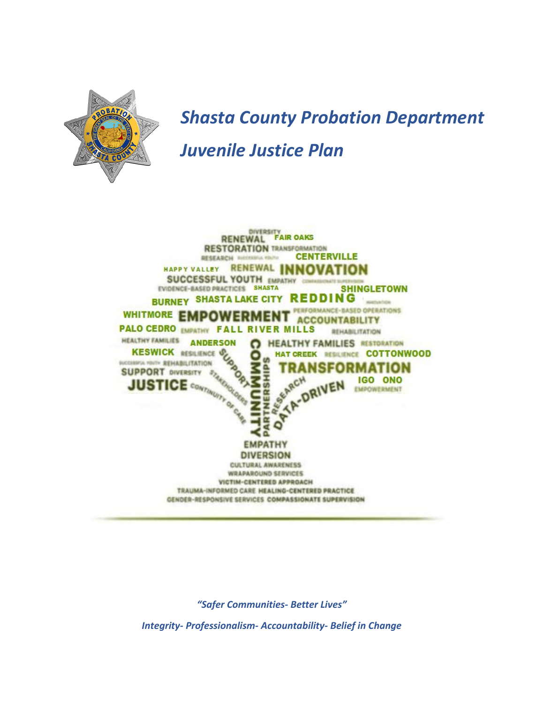

# *Shasta County Probation Department Juvenile Justice Plan*



*"Safer Communities- Better Lives"*

*Integrity- Professionalism- Accountability- Belief in Change*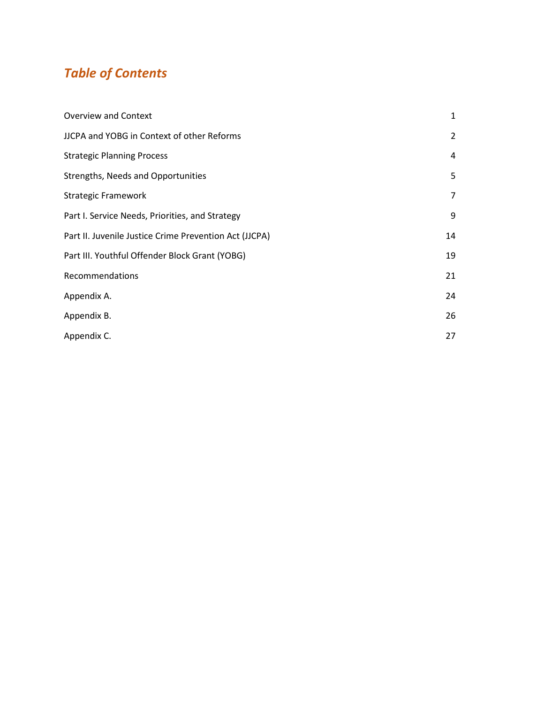## *Table of Contents*

| 1  |
|----|
| 2  |
| 4  |
| 5  |
| 7  |
| 9  |
| 14 |
| 19 |
| 21 |
| 24 |
| 26 |
| 27 |
|    |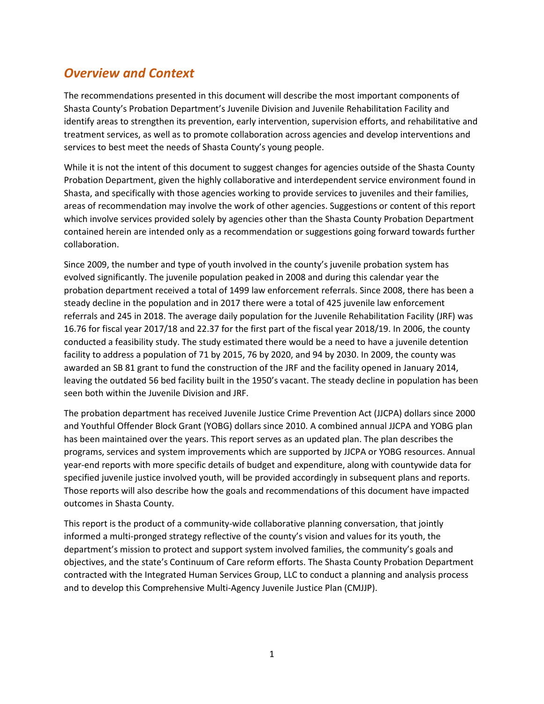### *Overview and Context*

The recommendations presented in this document will describe the most important components of Shasta County's Probation Department's Juvenile Division and Juvenile Rehabilitation Facility and identify areas to strengthen its prevention, early intervention, supervision efforts, and rehabilitative and treatment services, as well as to promote collaboration across agencies and develop interventions and services to best meet the needs of Shasta County's young people.

While it is not the intent of this document to suggest changes for agencies outside of the Shasta County Probation Department, given the highly collaborative and interdependent service environment found in Shasta, and specifically with those agencies working to provide services to juveniles and their families, areas of recommendation may involve the work of other agencies. Suggestions or content of this report which involve services provided solely by agencies other than the Shasta County Probation Department contained herein are intended only as a recommendation or suggestions going forward towards further collaboration.

Since 2009, the number and type of youth involved in the county's juvenile probation system has evolved significantly. The juvenile population peaked in 2008 and during this calendar year the probation department received a total of 1499 law enforcement referrals. Since 2008, there has been a steady decline in the population and in 2017 there were a total of 425 juvenile law enforcement referrals and 245 in 2018. The average daily population for the Juvenile Rehabilitation Facility (JRF) was 16.76 for fiscal year 2017/18 and 22.37 for the first part of the fiscal year 2018/19. In 2006, the county conducted a feasibility study. The study estimated there would be a need to have a juvenile detention facility to address a population of 71 by 2015, 76 by 2020, and 94 by 2030. In 2009, the county was awarded an SB 81 grant to fund the construction of the JRF and the facility opened in January 2014, leaving the outdated 56 bed facility built in the 1950's vacant. The steady decline in population has been seen both within the Juvenile Division and JRF.

The probation department has received Juvenile Justice Crime Prevention Act (JJCPA) dollars since 2000 and Youthful Offender Block Grant (YOBG) dollars since 2010. A combined annual JJCPA and YOBG plan has been maintained over the years. This report serves as an updated plan. The plan describes the programs, services and system improvements which are supported by JJCPA or YOBG resources. Annual year-end reports with more specific details of budget and expenditure, along with countywide data for specified juvenile justice involved youth, will be provided accordingly in subsequent plans and reports. Those reports will also describe how the goals and recommendations of this document have impacted outcomes in Shasta County.

This report is the product of a community-wide collaborative planning conversation, that jointly informed a multi-pronged strategy reflective of the county's vision and values for its youth, the department's mission to protect and support system involved families, the community's goals and objectives, and the state's Continuum of Care reform efforts. The Shasta County Probation Department contracted with the Integrated Human Services Group, LLC to conduct a planning and analysis process and to develop this Comprehensive Multi-Agency Juvenile Justice Plan (CMJJP).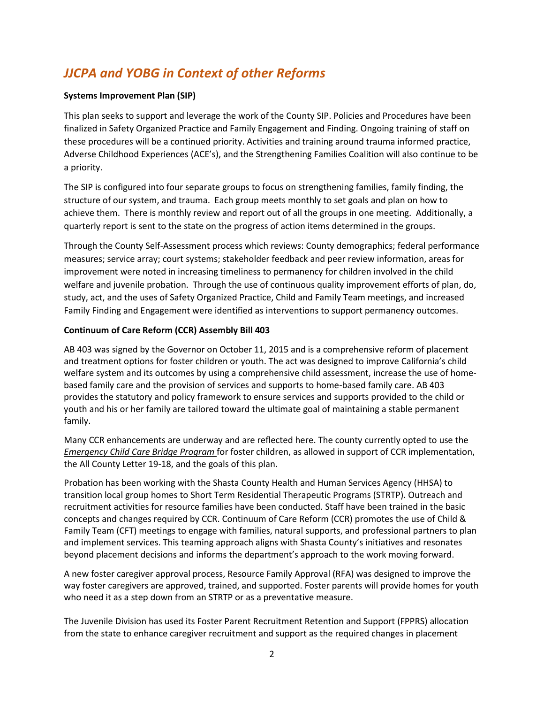### *JJCPA and YOBG in Context of other Reforms*

#### **Systems Improvement Plan (SIP)**

This plan seeks to support and leverage the work of the County SIP. Policies and Procedures have been finalized in Safety Organized Practice and Family Engagement and Finding. Ongoing training of staff on these procedures will be a continued priority. Activities and training around trauma informed practice, Adverse Childhood Experiences (ACE's), and the Strengthening Families Coalition will also continue to be a priority.

The SIP is configured into four separate groups to focus on strengthening families, family finding, the structure of our system, and trauma. Each group meets monthly to set goals and plan on how to achieve them. There is monthly review and report out of all the groups in one meeting. Additionally, a quarterly report is sent to the state on the progress of action items determined in the groups.

Through the County Self-Assessment process which reviews: County demographics; federal performance measures; service array; court systems; stakeholder feedback and peer review information, areas for improvement were noted in increasing timeliness to permanency for children involved in the child welfare and juvenile probation. Through the use of continuous quality improvement efforts of plan, do, study, act, and the uses of Safety Organized Practice, Child and Family Team meetings, and increased Family Finding and Engagement were identified as interventions to support permanency outcomes.

#### **Continuum of Care Reform (CCR) Assembly Bill 403**

AB 403 was signed by the Governor on October 11, 2015 and is a comprehensive reform of placement and treatment options for foster children or youth. The act was designed to improve California's child welfare system and its outcomes by using a comprehensive child assessment, increase the use of homebased family care and the provision of services and supports to home-based family care. AB 403 provides the statutory and policy framework to ensure services and supports provided to the child or youth and his or her family are tailored toward the ultimate goal of maintaining a stable permanent family.

Many CCR enhancements are underway and are reflected here. The county currently opted to use the *Emergency Child Care Bridge Program* for foster children, as allowed in support of CCR implementation, the All County Letter 19-18, and the goals of this plan.

Probation has been working with the Shasta County Health and Human Services Agency (HHSA) to transition local group homes to Short Term Residential Therapeutic Programs (STRTP). Outreach and recruitment activities for resource families have been conducted. Staff have been trained in the basic concepts and changes required by CCR. Continuum of Care Reform (CCR) promotes the use of Child & Family Team (CFT) meetings to engage with families, natural supports, and professional partners to plan and implement services. This teaming approach aligns with Shasta County's initiatives and resonates beyond placement decisions and informs the department's approach to the work moving forward.

A new foster caregiver approval process, Resource Family Approval (RFA) was designed to improve the way foster caregivers are approved, trained, and supported. Foster parents will provide homes for youth who need it as a step down from an STRTP or as a preventative measure.

The Juvenile Division has used its Foster Parent Recruitment Retention and Support (FPPRS) allocation from the state to enhance caregiver recruitment and support as the required changes in placement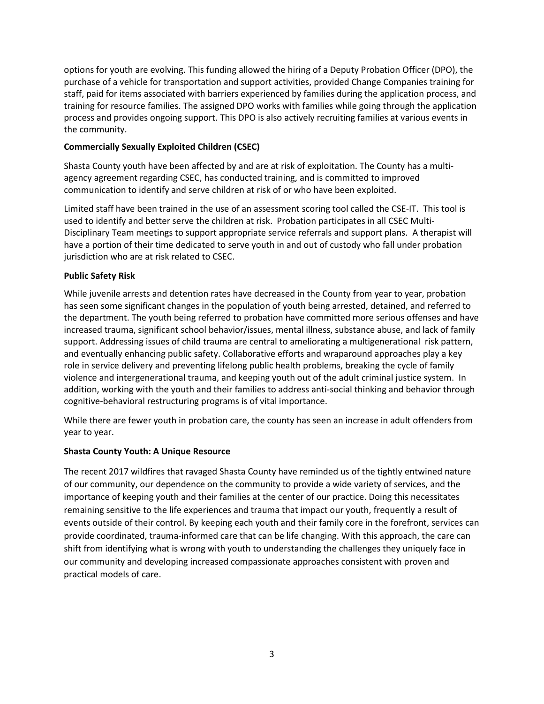options for youth are evolving. This funding allowed the hiring of a Deputy Probation Officer (DPO), the purchase of a vehicle for transportation and support activities, provided Change Companies training for staff, paid for items associated with barriers experienced by families during the application process, and training for resource families. The assigned DPO works with families while going through the application process and provides ongoing support. This DPO is also actively recruiting families at various events in the community.

#### **Commercially Sexually Exploited Children (CSEC)**

Shasta County youth have been affected by and are at risk of exploitation. The County has a multiagency agreement regarding CSEC, has conducted training, and is committed to improved communication to identify and serve children at risk of or who have been exploited.

Limited staff have been trained in the use of an assessment scoring tool called the CSE-IT. This tool is used to identify and better serve the children at risk. Probation participates in all CSEC Multi-Disciplinary Team meetings to support appropriate service referrals and support plans. A therapist will have a portion of their time dedicated to serve youth in and out of custody who fall under probation jurisdiction who are at risk related to CSEC.

#### **Public Safety Risk**

While juvenile arrests and detention rates have decreased in the County from year to year, probation has seen some significant changes in the population of youth being arrested, detained, and referred to the department. The youth being referred to probation have committed more serious offenses and have increased trauma, significant school behavior/issues, mental illness, substance abuse, and lack of family support. Addressing issues of child trauma are central to ameliorating a multigenerational risk pattern, and eventually enhancing public safety. Collaborative efforts and wraparound approaches play a key role in service delivery and preventing lifelong public health problems, breaking the cycle of family violence and intergenerational trauma, and keeping youth out of the adult criminal justice system. In addition, working with the youth and their families to address anti-social thinking and behavior through cognitive-behavioral restructuring programs is of vital importance.

While there are fewer youth in probation care, the county has seen an increase in adult offenders from year to year.

#### **Shasta County Youth: A Unique Resource**

The recent 2017 wildfires that ravaged Shasta County have reminded us of the tightly entwined nature of our community, our dependence on the community to provide a wide variety of services, and the importance of keeping youth and their families at the center of our practice. Doing this necessitates remaining sensitive to the life experiences and trauma that impact our youth, frequently a result of events outside of their control. By keeping each youth and their family core in the forefront, services can provide coordinated, trauma-informed care that can be life changing. With this approach, the care can shift from identifying what is wrong with youth to understanding the challenges they uniquely face in our community and developing increased compassionate approaches consistent with proven and practical models of care.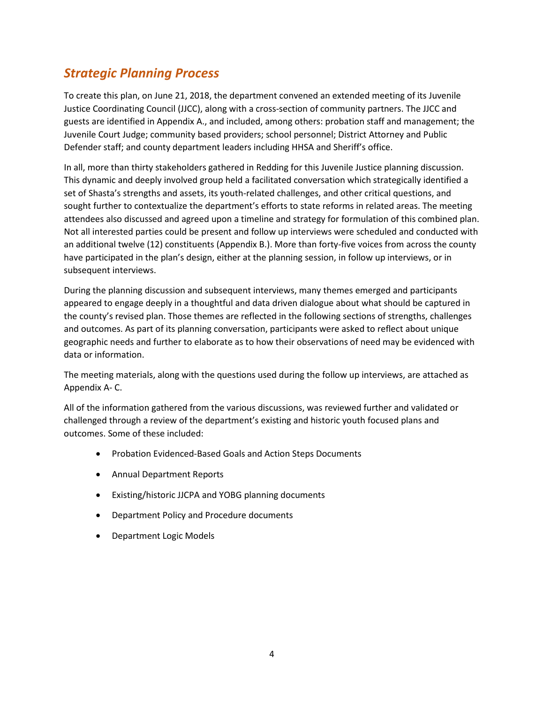### *Strategic Planning Process*

To create this plan, on June 21, 2018, the department convened an extended meeting of its Juvenile Justice Coordinating Council (JJCC), along with a cross-section of community partners. The JJCC and guests are identified in Appendix A., and included, among others: probation staff and management; the Juvenile Court Judge; community based providers; school personnel; District Attorney and Public Defender staff; and county department leaders including HHSA and Sheriff's office.

In all, more than thirty stakeholders gathered in Redding for this Juvenile Justice planning discussion. This dynamic and deeply involved group held a facilitated conversation which strategically identified a set of Shasta's strengths and assets, its youth-related challenges, and other critical questions, and sought further to contextualize the department's efforts to state reforms in related areas. The meeting attendees also discussed and agreed upon a timeline and strategy for formulation of this combined plan. Not all interested parties could be present and follow up interviews were scheduled and conducted with an additional twelve (12) constituents (Appendix B.). More than forty-five voices from across the county have participated in the plan's design, either at the planning session, in follow up interviews, or in subsequent interviews.

During the planning discussion and subsequent interviews, many themes emerged and participants appeared to engage deeply in a thoughtful and data driven dialogue about what should be captured in the county's revised plan. Those themes are reflected in the following sections of strengths, challenges and outcomes. As part of its planning conversation, participants were asked to reflect about unique geographic needs and further to elaborate as to how their observations of need may be evidenced with data or information.

The meeting materials, along with the questions used during the follow up interviews, are attached as Appendix A- C.

All of the information gathered from the various discussions, was reviewed further and validated or challenged through a review of the department's existing and historic youth focused plans and outcomes. Some of these included:

- Probation Evidenced-Based Goals and Action Steps Documents
- Annual Department Reports
- Existing/historic JJCPA and YOBG planning documents
- Department Policy and Procedure documents
- Department Logic Models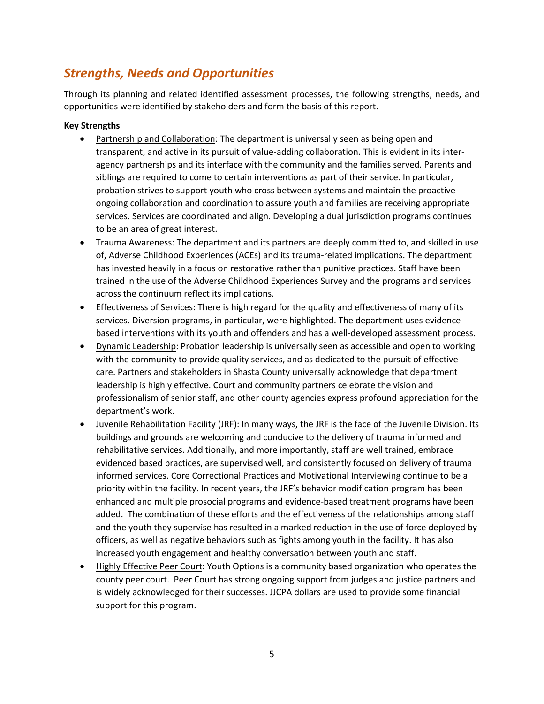### *Strengths, Needs and Opportunities*

Through its planning and related identified assessment processes, the following strengths, needs, and opportunities were identified by stakeholders and form the basis of this report.

#### **Key Strengths**

- Partnership and Collaboration: The department is universally seen as being open and transparent, and active in its pursuit of value-adding collaboration. This is evident in its interagency partnerships and its interface with the community and the families served. Parents and siblings are required to come to certain interventions as part of their service. In particular, probation strives to support youth who cross between systems and maintain the proactive ongoing collaboration and coordination to assure youth and families are receiving appropriate services. Services are coordinated and align. Developing a dual jurisdiction programs continues to be an area of great interest.
- Trauma Awareness: The department and its partners are deeply committed to, and skilled in use of, Adverse Childhood Experiences (ACEs) and its trauma-related implications. The department has invested heavily in a focus on restorative rather than punitive practices. Staff have been trained in the use of the Adverse Childhood Experiences Survey and the programs and services across the continuum reflect its implications.
- Effectiveness of Services: There is high regard for the quality and effectiveness of many of its services. Diversion programs, in particular, were highlighted. The department uses evidence based interventions with its youth and offenders and has a well-developed assessment process.
- Dynamic Leadership: Probation leadership is universally seen as accessible and open to working with the community to provide quality services, and as dedicated to the pursuit of effective care. Partners and stakeholders in Shasta County universally acknowledge that department leadership is highly effective. Court and community partners celebrate the vision and professionalism of senior staff, and other county agencies express profound appreciation for the department's work.
- Juvenile Rehabilitation Facility (JRF): In many ways, the JRF is the face of the Juvenile Division. Its buildings and grounds are welcoming and conducive to the delivery of trauma informed and rehabilitative services. Additionally, and more importantly, staff are well trained, embrace evidenced based practices, are supervised well, and consistently focused on delivery of trauma informed services. Core Correctional Practices and Motivational Interviewing continue to be a priority within the facility. In recent years, the JRF's behavior modification program has been enhanced and multiple prosocial programs and evidence-based treatment programs have been added. The combination of these efforts and the effectiveness of the relationships among staff and the youth they supervise has resulted in a marked reduction in the use of force deployed by officers, as well as negative behaviors such as fights among youth in the facility. It has also increased youth engagement and healthy conversation between youth and staff.
- Highly Effective Peer Court: Youth Options is a community based organization who operates the county peer court. Peer Court has strong ongoing support from judges and justice partners and is widely acknowledged for their successes. JJCPA dollars are used to provide some financial support for this program.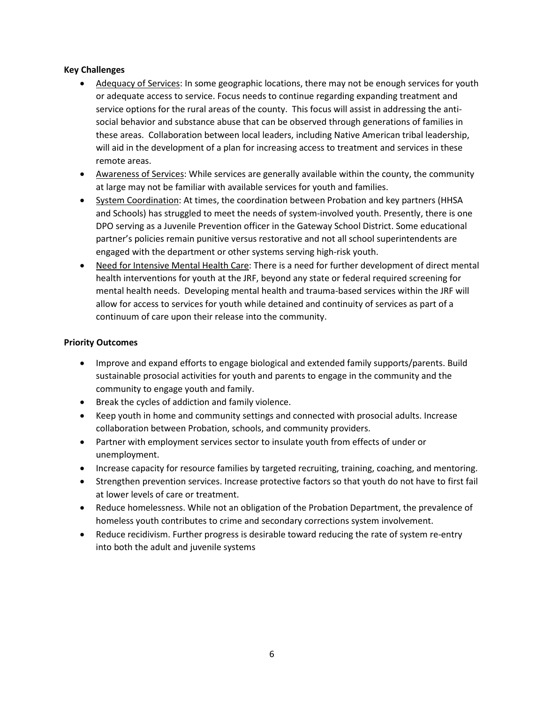#### **Key Challenges**

- Adequacy of Services: In some geographic locations, there may not be enough services for youth or adequate access to service. Focus needs to continue regarding expanding treatment and service options for the rural areas of the county. This focus will assist in addressing the antisocial behavior and substance abuse that can be observed through generations of families in these areas. Collaboration between local leaders, including Native American tribal leadership, will aid in the development of a plan for increasing access to treatment and services in these remote areas.
- Awareness of Services: While services are generally available within the county, the community at large may not be familiar with available services for youth and families.
- System Coordination: At times, the coordination between Probation and key partners (HHSA and Schools) has struggled to meet the needs of system-involved youth. Presently, there is one DPO serving as a Juvenile Prevention officer in the Gateway School District. Some educational partner's policies remain punitive versus restorative and not all school superintendents are engaged with the department or other systems serving high-risk youth.
- Need for Intensive Mental Health Care: There is a need for further development of direct mental health interventions for youth at the JRF, beyond any state or federal required screening for mental health needs. Developing mental health and trauma-based services within the JRF will allow for access to services for youth while detained and continuity of services as part of a continuum of care upon their release into the community.

#### **Priority Outcomes**

- Improve and expand efforts to engage biological and extended family supports/parents. Build sustainable prosocial activities for youth and parents to engage in the community and the community to engage youth and family.
- Break the cycles of addiction and family violence.
- Keep youth in home and community settings and connected with prosocial adults. Increase collaboration between Probation, schools, and community providers.
- Partner with employment services sector to insulate youth from effects of under or unemployment.
- Increase capacity for resource families by targeted recruiting, training, coaching, and mentoring.
- Strengthen prevention services. Increase protective factors so that youth do not have to first fail at lower levels of care or treatment.
- Reduce homelessness. While not an obligation of the Probation Department, the prevalence of homeless youth contributes to crime and secondary corrections system involvement.
- Reduce recidivism. Further progress is desirable toward reducing the rate of system re-entry into both the adult and juvenile systems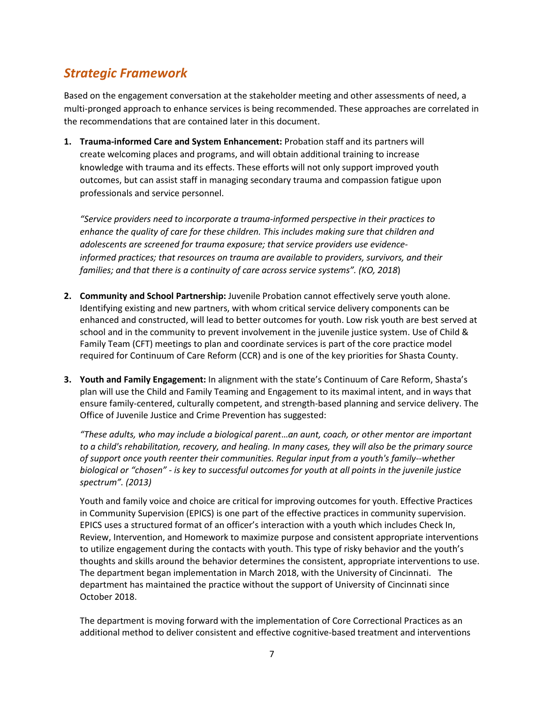### *Strategic Framework*

Based on the engagement conversation at the stakeholder meeting and other assessments of need, a multi-pronged approach to enhance services is being recommended. These approaches are correlated in the recommendations that are contained later in this document.

**1. Trauma-informed Care and System Enhancement:** Probation staff and its partners will create welcoming places and programs, and will obtain additional training to increase knowledge with trauma and its effects. These efforts will not only support improved youth outcomes, but can assist staff in managing secondary trauma and compassion fatigue upon professionals and service personnel.

*"Service providers need to incorporate a trauma-informed perspective in their practices to enhance the quality of care for these children. This includes making sure that children and adolescents are screened for trauma exposure; that service providers use evidenceinformed practices; that resources on trauma are available to providers, survivors, and their families; and that there is a continuity of care across service systems". (KO, 2018*)

- **2. Community and School Partnership:** Juvenile Probation cannot effectively serve youth alone. Identifying existing and new partners, with whom critical service delivery components can be enhanced and constructed, will lead to better outcomes for youth. Low risk youth are best served at school and in the community to prevent involvement in the juvenile justice system. Use of Child & Family Team (CFT) meetings to plan and coordinate services is part of the core practice model required for Continuum of Care Reform (CCR) and is one of the key priorities for Shasta County.
- **3. Youth and Family Engagement:** In alignment with the state's Continuum of Care Reform, Shasta's plan will use the Child and Family Teaming and Engagement to its maximal intent, and in ways that ensure family-centered, culturally competent, and strength-based planning and service delivery. The Office of Juvenile Justice and Crime Prevention has suggested:

*"These adults, who may include a biological parent*…*an aunt, coach, or other mentor are important to a child's rehabilitation, recovery, and healing. In many cases, they will also be the primary source of support once youth reenter their communities. Regular input from a youth's family--whether biological or "chosen" - is key to successful outcomes for youth at all points in the juvenile justice spectrum". (2013)*

Youth and family voice and choice are critical for improving outcomes for youth. Effective Practices in Community Supervision (EPICS) is one part of the effective practices in community supervision. EPICS uses a structured format of an officer's interaction with a youth which includes Check In, Review, Intervention, and Homework to maximize purpose and consistent appropriate interventions to utilize engagement during the contacts with youth. This type of risky behavior and the youth's thoughts and skills around the behavior determines the consistent, appropriate interventions to use. The department began implementation in March 2018, with the University of Cincinnati. The department has maintained the practice without the support of University of Cincinnati since October 2018.

The department is moving forward with the implementation of Core Correctional Practices as an additional method to deliver consistent and effective cognitive-based treatment and interventions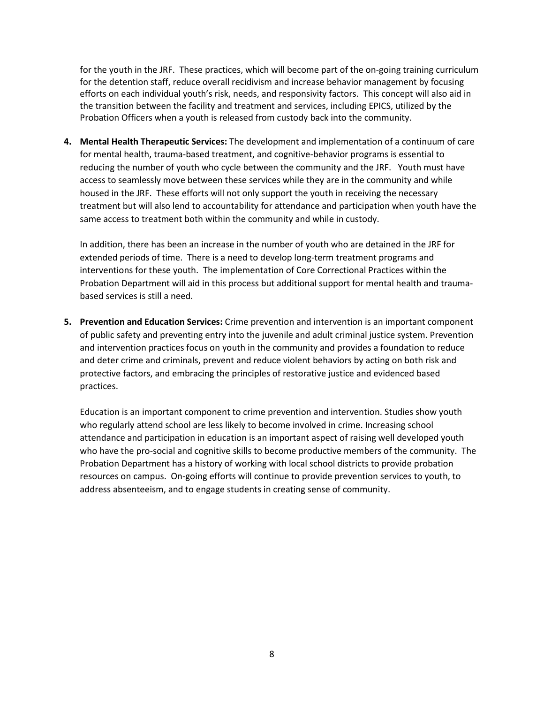for the youth in the JRF. These practices, which will become part of the on-going training curriculum for the detention staff, reduce overall recidivism and increase behavior management by focusing efforts on each individual youth's risk, needs, and responsivity factors. This concept will also aid in the transition between the facility and treatment and services, including EPICS, utilized by the Probation Officers when a youth is released from custody back into the community.

**4. Mental Health Therapeutic Services:** The development and implementation of a continuum of care for mental health, trauma-based treatment, and cognitive-behavior programs is essential to reducing the number of youth who cycle between the community and the JRF. Youth must have access to seamlessly move between these services while they are in the community and while housed in the JRF. These efforts will not only support the youth in receiving the necessary treatment but will also lend to accountability for attendance and participation when youth have the same access to treatment both within the community and while in custody.

In addition, there has been an increase in the number of youth who are detained in the JRF for extended periods of time. There is a need to develop long-term treatment programs and interventions for these youth. The implementation of Core Correctional Practices within the Probation Department will aid in this process but additional support for mental health and traumabased services is still a need.

**5. Prevention and Education Services:** Crime prevention and intervention is an important component of public safety and preventing entry into the juvenile and adult criminal justice system. Prevention and intervention practices focus on youth in the community and provides a foundation to reduce and deter crime and criminals, prevent and reduce violent behaviors by acting on both risk and protective factors, and embracing the principles of restorative justice and evidenced based practices.

Education is an important component to crime prevention and intervention. Studies show youth who regularly attend school are less likely to become involved in crime. Increasing school attendance and participation in education is an important aspect of raising well developed youth who have the pro-social and cognitive skills to become productive members of the community. The Probation Department has a history of working with local school districts to provide probation resources on campus. On-going efforts will continue to provide prevention services to youth, to address absenteeism, and to engage students in creating sense of community.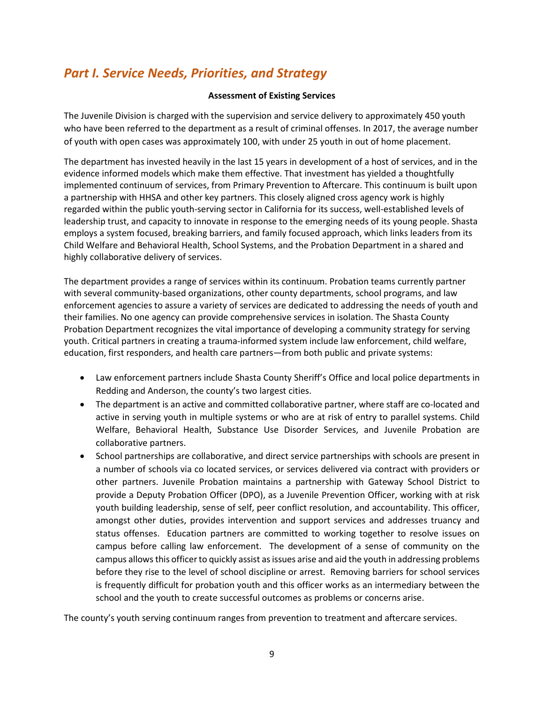### *Part I. Service Needs, Priorities, and Strategy*

#### **Assessment of Existing Services**

The Juvenile Division is charged with the supervision and service delivery to approximately 450 youth who have been referred to the department as a result of criminal offenses. In 2017, the average number of youth with open cases was approximately 100, with under 25 youth in out of home placement.

The department has invested heavily in the last 15 years in development of a host of services, and in the evidence informed models which make them effective. That investment has yielded a thoughtfully implemented continuum of services, from Primary Prevention to Aftercare. This continuum is built upon a partnership with HHSA and other key partners. This closely aligned cross agency work is highly regarded within the public youth-serving sector in California for its success, well-established levels of leadership trust, and capacity to innovate in response to the emerging needs of its young people. Shasta employs a system focused, breaking barriers, and family focused approach, which links leaders from its Child Welfare and Behavioral Health, School Systems, and the Probation Department in a shared and highly collaborative delivery of services.

The department provides a range of services within its continuum. Probation teams currently partner with several community-based organizations, other county departments, school programs, and law enforcement agencies to assure a variety of services are dedicated to addressing the needs of youth and their families. No one agency can provide comprehensive services in isolation. The Shasta County Probation Department recognizes the vital importance of developing a community strategy for serving youth. Critical partners in creating a trauma-informed system include law enforcement, child welfare, education, first responders, and health care partners—from both public and private systems:

- Law enforcement partners include Shasta County Sheriff's Office and local police departments in Redding and Anderson, the county's two largest cities.
- The department is an active and committed collaborative partner, where staff are co-located and active in serving youth in multiple systems or who are at risk of entry to parallel systems. Child Welfare, Behavioral Health, Substance Use Disorder Services, and Juvenile Probation are collaborative partners.
- School partnerships are collaborative, and direct service partnerships with schools are present in a number of schools via co located services, or services delivered via contract with providers or other partners. Juvenile Probation maintains a partnership with Gateway School District to provide a Deputy Probation Officer (DPO), as a Juvenile Prevention Officer, working with at risk youth building leadership, sense of self, peer conflict resolution, and accountability. This officer, amongst other duties, provides intervention and support services and addresses truancy and status offenses. Education partners are committed to working together to resolve issues on campus before calling law enforcement. The development of a sense of community on the campus allows this officer to quickly assist as issues arise and aid the youth in addressing problems before they rise to the level of school discipline or arrest. Removing barriers for school services is frequently difficult for probation youth and this officer works as an intermediary between the school and the youth to create successful outcomes as problems or concerns arise.

The county's youth serving continuum ranges from prevention to treatment and aftercare services.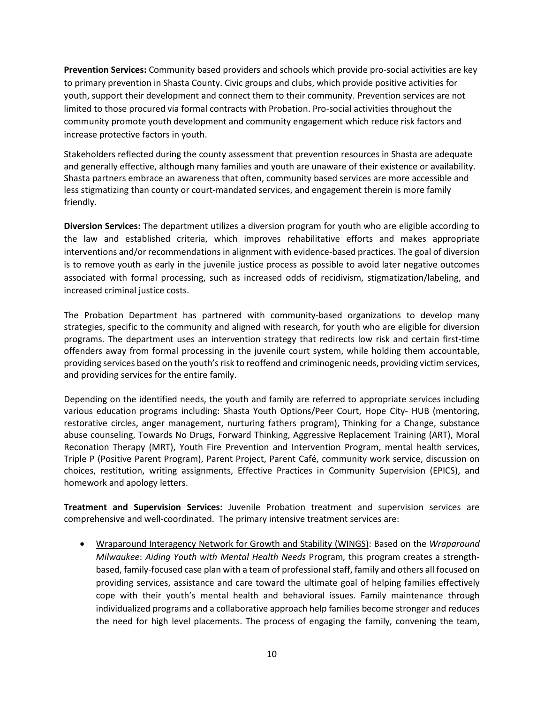**Prevention Services:** Community based providers and schools which provide pro-social activities are key to primary prevention in Shasta County. Civic groups and clubs, which provide positive activities for youth, support their development and connect them to their community. Prevention services are not limited to those procured via formal contracts with Probation. Pro-social activities throughout the community promote youth development and community engagement which reduce risk factors and increase protective factors in youth.

Stakeholders reflected during the county assessment that prevention resources in Shasta are adequate and generally effective, although many families and youth are unaware of their existence or availability. Shasta partners embrace an awareness that often, community based services are more accessible and less stigmatizing than county or court-mandated services, and engagement therein is more family friendly.

**Diversion Services:** The department utilizes a diversion program for youth who are eligible according to the law and established criteria, which improves rehabilitative efforts and makes appropriate interventions and/or recommendations in alignment with evidence-based practices. The goal of diversion is to remove youth as early in the juvenile justice process as possible to avoid later negative outcomes associated with formal processing, such as increased odds of recidivism, stigmatization/labeling, and increased criminal justice costs.

The Probation Department has partnered with community-based organizations to develop many strategies, specific to the community and aligned with research, for youth who are eligible for diversion programs. The department uses an intervention strategy that redirects low risk and certain first-time offenders away from formal processing in the juvenile court system, while holding them accountable, providing services based on the youth's risk to reoffend and criminogenic needs, providing victim services, and providing services for the entire family.

Depending on the identified needs, the youth and family are referred to appropriate services including various education programs including: Shasta Youth Options/Peer Court, Hope City- HUB (mentoring, restorative circles, anger management, nurturing fathers program), Thinking for a Change, substance abuse counseling, Towards No Drugs, Forward Thinking, Aggressive Replacement Training (ART), Moral Reconation Therapy (MRT), Youth Fire Prevention and Intervention Program, mental health services, Triple P (Positive Parent Program), Parent Project, Parent Café, community work service, discussion on choices, restitution, writing assignments, Effective Practices in Community Supervision (EPICS), and homework and apology letters.

**Treatment and Supervision Services:** Juvenile Probation treatment and supervision services are comprehensive and well-coordinated. The primary intensive treatment services are:

• Wraparound Interagency Network for Growth and Stability (WINGS): Based on the *Wraparound Milwaukee*: *Aiding Youth with Mental Health Needs* Program*,* this program creates a strengthbased, family-focused case plan with a team of professional staff, family and others all focused on providing services, assistance and care toward the ultimate goal of helping families effectively cope with their youth's mental health and behavioral issues. Family maintenance through individualized programs and a collaborative approach help families become stronger and reduces the need for high level placements. The process of engaging the family, convening the team,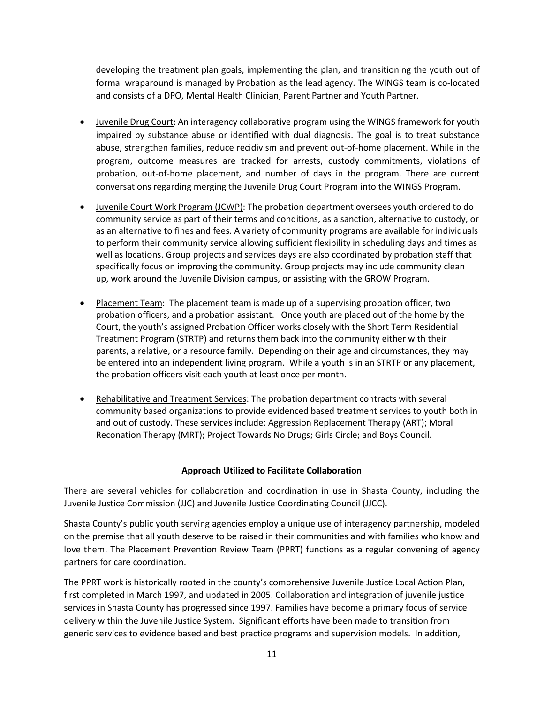developing the treatment plan goals, implementing the plan, and transitioning the youth out of formal wraparound is managed by Probation as the lead agency. The WINGS team is co-located and consists of a DPO, Mental Health Clinician, Parent Partner and Youth Partner.

- Juvenile Drug Court: An interagency collaborative program using the WINGS framework for youth impaired by substance abuse or identified with dual diagnosis. The goal is to treat substance abuse, strengthen families, reduce recidivism and prevent out-of-home placement. While in the program, outcome measures are tracked for arrests, custody commitments, violations of probation, out-of-home placement, and number of days in the program. There are current conversations regarding merging the Juvenile Drug Court Program into the WINGS Program.
- Juvenile Court Work Program (JCWP): The probation department oversees youth ordered to do community service as part of their terms and conditions, as a sanction, alternative to custody, or as an alternative to fines and fees. A variety of community programs are available for individuals to perform their community service allowing sufficient flexibility in scheduling days and times as well as locations. Group projects and services days are also coordinated by probation staff that specifically focus on improving the community. Group projects may include community clean up, work around the Juvenile Division campus, or assisting with the GROW Program.
- Placement Team: The placement team is made up of a supervising probation officer, two probation officers, and a probation assistant. Once youth are placed out of the home by the Court, the youth's assigned Probation Officer works closely with the Short Term Residential Treatment Program (STRTP) and returns them back into the community either with their parents, a relative, or a resource family. Depending on their age and circumstances, they may be entered into an independent living program. While a youth is in an STRTP or any placement, the probation officers visit each youth at least once per month.
- Rehabilitative and Treatment Services: The probation department contracts with several community based organizations to provide evidenced based treatment services to youth both in and out of custody. These services include: Aggression Replacement Therapy (ART); Moral Reconation Therapy (MRT); Project Towards No Drugs; Girls Circle; and Boys Council.

#### **Approach Utilized to Facilitate Collaboration**

There are several vehicles for collaboration and coordination in use in Shasta County, including the Juvenile Justice Commission (JJC) and Juvenile Justice Coordinating Council (JJCC).

Shasta County's public youth serving agencies employ a unique use of interagency partnership, modeled on the premise that all youth deserve to be raised in their communities and with families who know and love them. The Placement Prevention Review Team (PPRT) functions as a regular convening of agency partners for care coordination.

The PPRT work is historically rooted in the county's comprehensive Juvenile Justice Local Action Plan, first completed in March 1997, and updated in 2005. Collaboration and integration of juvenile justice services in Shasta County has progressed since 1997. Families have become a primary focus of service delivery within the Juvenile Justice System. Significant efforts have been made to transition from generic services to evidence based and best practice programs and supervision models. In addition,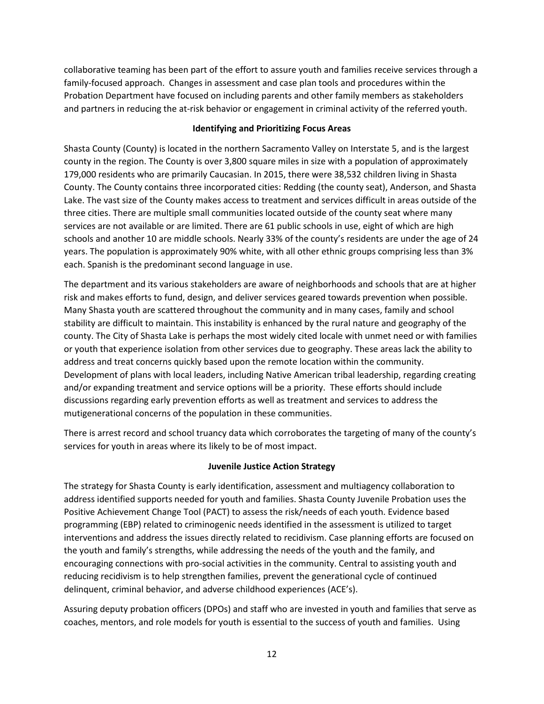collaborative teaming has been part of the effort to assure youth and families receive services through a family-focused approach. Changes in assessment and case plan tools and procedures within the Probation Department have focused on including parents and other family members as stakeholders and partners in reducing the at-risk behavior or engagement in criminal activity of the referred youth.

#### **Identifying and Prioritizing Focus Areas**

Shasta County (County) is located in the northern Sacramento Valley on Interstate 5, and is the largest county in the region. The County is over 3,800 square miles in size with a population of approximately 179,000 residents who are primarily Caucasian. In 2015, there were 38,532 children living in Shasta County. The County contains three incorporated cities: Redding (the county seat), Anderson, and Shasta Lake. The vast size of the County makes access to treatment and services difficult in areas outside of the three cities. There are multiple small communities located outside of the county seat where many services are not available or are limited. There are 61 public schools in use, eight of which are high schools and another 10 are middle schools. Nearly 33% of the county's residents are under the age of 24 years. The population is approximately 90% white, with all other ethnic groups comprising less than 3% each. Spanish is the predominant second language in use.

The department and its various stakeholders are aware of neighborhoods and schools that are at higher risk and makes efforts to fund, design, and deliver services geared towards prevention when possible. Many Shasta youth are scattered throughout the community and in many cases, family and school stability are difficult to maintain. This instability is enhanced by the rural nature and geography of the county. The City of Shasta Lake is perhaps the most widely cited locale with unmet need or with families or youth that experience isolation from other services due to geography. These areas lack the ability to address and treat concerns quickly based upon the remote location within the community. Development of plans with local leaders, including Native American tribal leadership, regarding creating and/or expanding treatment and service options will be a priority. These efforts should include discussions regarding early prevention efforts as well as treatment and services to address the mutigenerational concerns of the population in these communities.

There is arrest record and school truancy data which corroborates the targeting of many of the county's services for youth in areas where its likely to be of most impact.

#### **Juvenile Justice Action Strategy**

The strategy for Shasta County is early identification, assessment and multiagency collaboration to address identified supports needed for youth and families. Shasta County Juvenile Probation uses the Positive Achievement Change Tool (PACT) to assess the risk/needs of each youth. Evidence based programming (EBP) related to criminogenic needs identified in the assessment is utilized to target interventions and address the issues directly related to recidivism. Case planning efforts are focused on the youth and family's strengths, while addressing the needs of the youth and the family, and encouraging connections with pro-social activities in the community. Central to assisting youth and reducing recidivism is to help strengthen families, prevent the generational cycle of continued delinquent, criminal behavior, and adverse childhood experiences (ACE's).

Assuring deputy probation officers (DPOs) and staff who are invested in youth and families that serve as coaches, mentors, and role models for youth is essential to the success of youth and families. Using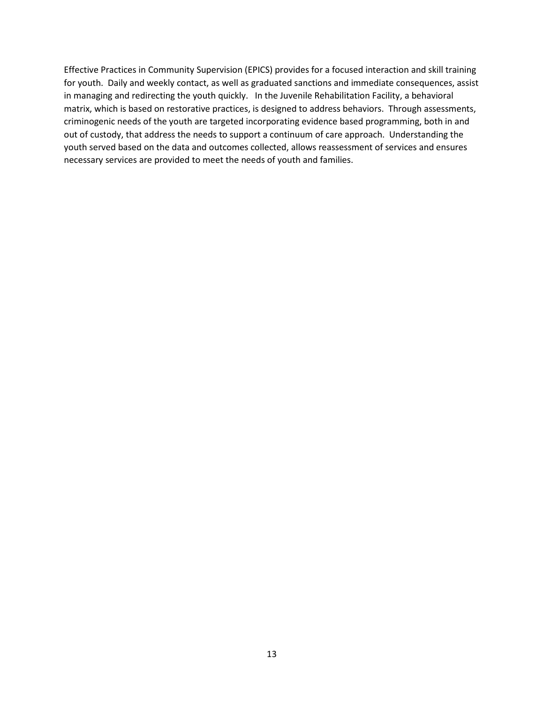Effective Practices in Community Supervision (EPICS) provides for a focused interaction and skill training for youth. Daily and weekly contact, as well as graduated sanctions and immediate consequences, assist in managing and redirecting the youth quickly. In the Juvenile Rehabilitation Facility, a behavioral matrix, which is based on restorative practices, is designed to address behaviors. Through assessments, criminogenic needs of the youth are targeted incorporating evidence based programming, both in and out of custody, that address the needs to support a continuum of care approach. Understanding the youth served based on the data and outcomes collected, allows reassessment of services and ensures necessary services are provided to meet the needs of youth and families.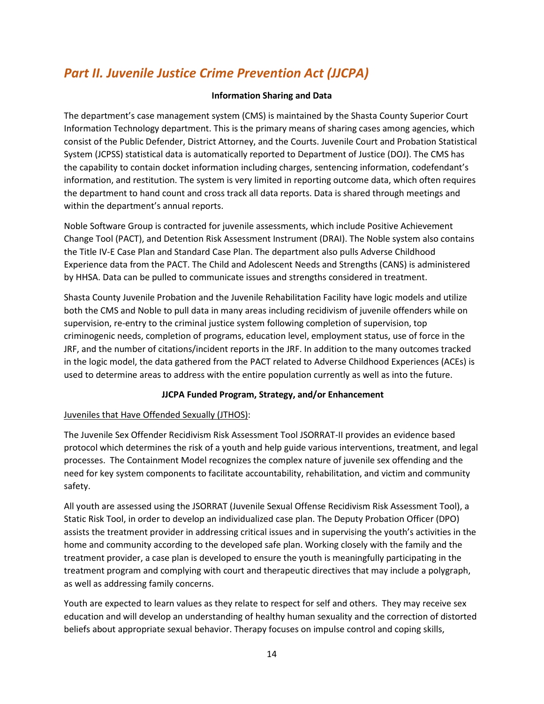### *Part II. Juvenile Justice Crime Prevention Act (JJCPA)*

#### **Information Sharing and Data**

The department's case management system (CMS) is maintained by the Shasta County Superior Court Information Technology department. This is the primary means of sharing cases among agencies, which consist of the Public Defender, District Attorney, and the Courts. Juvenile Court and Probation Statistical System (JCPSS) statistical data is automatically reported to Department of Justice (DOJ). The CMS has the capability to contain docket information including charges, sentencing information, codefendant's information, and restitution. The system is very limited in reporting outcome data, which often requires the department to hand count and cross track all data reports. Data is shared through meetings and within the department's annual reports.

Noble Software Group is contracted for juvenile assessments, which include Positive Achievement Change Tool (PACT), and Detention Risk Assessment Instrument (DRAI). The Noble system also contains the Title IV-E Case Plan and Standard Case Plan. The department also pulls Adverse Childhood Experience data from the PACT. The Child and Adolescent Needs and Strengths (CANS) is administered by HHSA. Data can be pulled to communicate issues and strengths considered in treatment.

Shasta County Juvenile Probation and the Juvenile Rehabilitation Facility have logic models and utilize both the CMS and Noble to pull data in many areas including recidivism of juvenile offenders while on supervision, re-entry to the criminal justice system following completion of supervision, top criminogenic needs, completion of programs, education level, employment status, use of force in the JRF, and the number of citations/incident reports in the JRF. In addition to the many outcomes tracked in the logic model, the data gathered from the PACT related to Adverse Childhood Experiences (ACEs) is used to determine areas to address with the entire population currently as well as into the future.

#### **JJCPA Funded Program, Strategy, and/or Enhancement**

#### Juveniles that Have Offended Sexually (JTHOS):

The Juvenile Sex Offender Recidivism Risk Assessment Tool JSORRAT-II provides an evidence based protocol which determines the risk of a youth and help guide various interventions, treatment, and legal processes. The Containment Model recognizes the complex nature of juvenile sex offending and the need for key system components to facilitate accountability, rehabilitation, and victim and community safety.

All youth are assessed using the JSORRAT (Juvenile Sexual Offense Recidivism Risk Assessment Tool), a Static Risk Tool, in order to develop an individualized case plan. The Deputy Probation Officer (DPO) assists the treatment provider in addressing critical issues and in supervising the youth's activities in the home and community according to the developed safe plan. Working closely with the family and the treatment provider, a case plan is developed to ensure the youth is meaningfully participating in the treatment program and complying with court and therapeutic directives that may include a polygraph, as well as addressing family concerns.

Youth are expected to learn values as they relate to respect for self and others. They may receive sex education and will develop an understanding of healthy human sexuality and the correction of distorted beliefs about appropriate sexual behavior. Therapy focuses on impulse control and coping skills,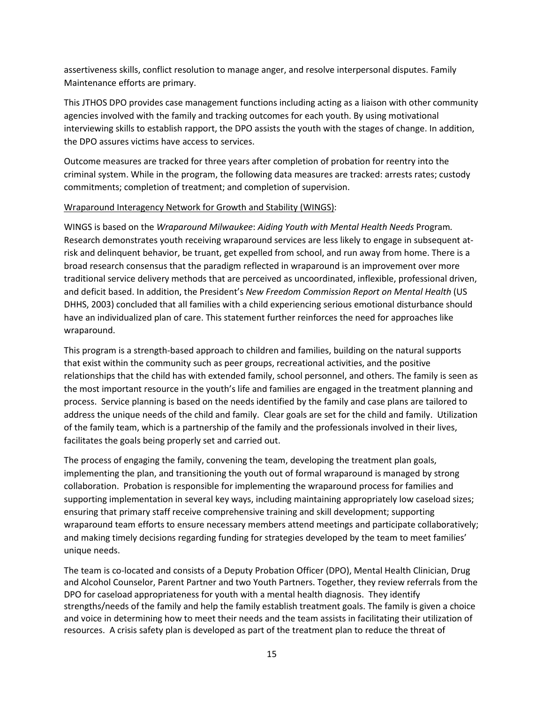assertiveness skills, conflict resolution to manage anger, and resolve interpersonal disputes. Family Maintenance efforts are primary.

This JTHOS DPO provides case management functions including acting as a liaison with other community agencies involved with the family and tracking outcomes for each youth. By using motivational interviewing skills to establish rapport, the DPO assists the youth with the stages of change. In addition, the DPO assures victims have access to services.

Outcome measures are tracked for three years after completion of probation for reentry into the criminal system. While in the program, the following data measures are tracked: arrests rates; custody commitments; completion of treatment; and completion of supervision.

#### Wraparound Interagency Network for Growth and Stability (WINGS):

WINGS is based on the *Wraparound Milwaukee*: *Aiding Youth with Mental Health Needs* Program*.*  Research demonstrates youth receiving wraparound services are less likely to engage in subsequent atrisk and delinquent behavior, be truant, get expelled from school, and run away from home. There is a broad research consensus that the paradigm reflected in wraparound is an improvement over more traditional service delivery methods that are perceived as uncoordinated, inflexible, professional driven, and deficit based. In addition, the President's *New Freedom Commission Report on Mental Health* (US DHHS, 2003) concluded that all families with a child experiencing serious emotional disturbance should have an individualized plan of care. This statement further reinforces the need for approaches like wraparound.

This program is a strength-based approach to children and families, building on the natural supports that exist within the community such as peer groups, recreational activities, and the positive relationships that the child has with extended family, school personnel, and others. The family is seen as the most important resource in the youth's life and families are engaged in the treatment planning and process. Service planning is based on the needs identified by the family and case plans are tailored to address the unique needs of the child and family. Clear goals are set for the child and family. Utilization of the family team, which is a partnership of the family and the professionals involved in their lives, facilitates the goals being properly set and carried out.

The process of engaging the family, convening the team, developing the treatment plan goals, implementing the plan, and transitioning the youth out of formal wraparound is managed by strong collaboration. Probation is responsible for implementing the wraparound process for families and supporting implementation in several key ways, including maintaining appropriately low caseload sizes; ensuring that primary staff receive comprehensive training and skill development; supporting wraparound team efforts to ensure necessary members attend meetings and participate collaboratively; and making timely decisions regarding funding for strategies developed by the team to meet families' unique needs.

The team is co-located and consists of a Deputy Probation Officer (DPO), Mental Health Clinician, Drug and Alcohol Counselor, Parent Partner and two Youth Partners. Together, they review referrals from the DPO for caseload appropriateness for youth with a mental health diagnosis. They identify strengths/needs of the family and help the family establish treatment goals. The family is given a choice and voice in determining how to meet their needs and the team assists in facilitating their utilization of resources. A crisis safety plan is developed as part of the treatment plan to reduce the threat of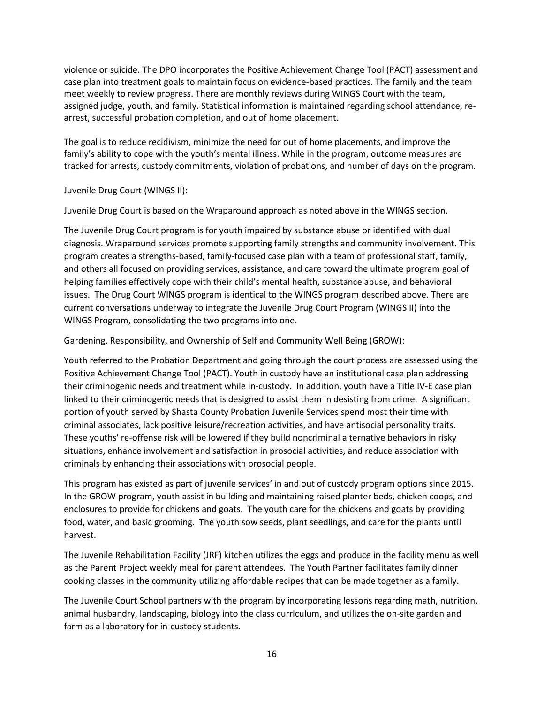violence or suicide. The DPO incorporates the Positive Achievement Change Tool (PACT) assessment and case plan into treatment goals to maintain focus on evidence-based practices. The family and the team meet weekly to review progress. There are monthly reviews during WINGS Court with the team, assigned judge, youth, and family. Statistical information is maintained regarding school attendance, rearrest, successful probation completion, and out of home placement.

The goal is to reduce recidivism, minimize the need for out of home placements, and improve the family's ability to cope with the youth's mental illness. While in the program, outcome measures are tracked for arrests, custody commitments, violation of probations, and number of days on the program.

#### Juvenile Drug Court (WINGS II):

Juvenile Drug Court is based on the Wraparound approach as noted above in the WINGS section.

The Juvenile Drug Court program is for youth impaired by substance abuse or identified with dual diagnosis. Wraparound services promote supporting family strengths and community involvement. This program creates a strengths-based, family-focused case plan with a team of professional staff, family, and others all focused on providing services, assistance, and care toward the ultimate program goal of helping families effectively cope with their child's mental health, substance abuse, and behavioral issues. The Drug Court WINGS program is identical to the WINGS program described above. There are current conversations underway to integrate the Juvenile Drug Court Program (WINGS II) into the WINGS Program, consolidating the two programs into one.

#### Gardening, Responsibility, and Ownership of Self and Community Well Being (GROW):

Youth referred to the Probation Department and going through the court process are assessed using the Positive Achievement Change Tool (PACT). Youth in custody have an institutional case plan addressing their criminogenic needs and treatment while in-custody. In addition, youth have a Title IV-E case plan linked to their criminogenic needs that is designed to assist them in desisting from crime. A significant portion of youth served by Shasta County Probation Juvenile Services spend most their time with criminal associates, lack positive leisure/recreation activities, and have antisocial personality traits. These youths' re-offense risk will be lowered if they build noncriminal alternative behaviors in risky situations, enhance involvement and satisfaction in prosocial activities, and reduce association with criminals by enhancing their associations with prosocial people.

This program has existed as part of juvenile services' in and out of custody program options since 2015. In the GROW program, youth assist in building and maintaining raised planter beds, chicken coops, and enclosures to provide for chickens and goats. The youth care for the chickens and goats by providing food, water, and basic grooming. The youth sow seeds, plant seedlings, and care for the plants until harvest.

The Juvenile Rehabilitation Facility (JRF) kitchen utilizes the eggs and produce in the facility menu as well as the Parent Project weekly meal for parent attendees. The Youth Partner facilitates family dinner cooking classes in the community utilizing affordable recipes that can be made together as a family.

The Juvenile Court School partners with the program by incorporating lessons regarding math, nutrition, animal husbandry, landscaping, biology into the class curriculum, and utilizes the on-site garden and farm as a laboratory for in-custody students.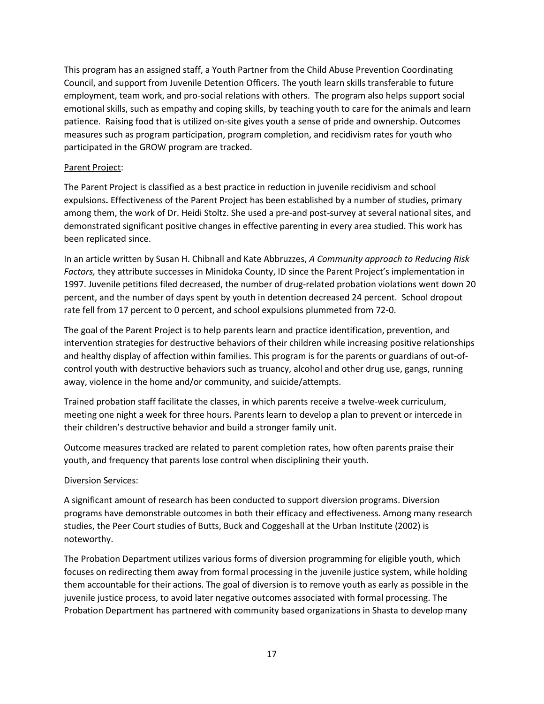This program has an assigned staff, a Youth Partner from the Child Abuse Prevention Coordinating Council, and support from Juvenile Detention Officers. The youth learn skills transferable to future employment, team work, and pro-social relations with others. The program also helps support social emotional skills, such as empathy and coping skills, by teaching youth to care for the animals and learn patience. Raising food that is utilized on-site gives youth a sense of pride and ownership. Outcomes measures such as program participation, program completion, and recidivism rates for youth who participated in the GROW program are tracked.

#### Parent Project:

The Parent Project is classified as a best practice in reduction in juvenile recidivism and school expulsions**.** Effectiveness of the Parent Project has been established by a number of studies, primary among them, the work of Dr. Heidi Stoltz. She used a pre-and post-survey at several national sites, and demonstrated significant positive changes in effective parenting in every area studied. This work has been replicated since.

In an article written by Susan H. Chibnall and Kate Abbruzzes, *A Community approach to Reducing Risk Factors,* they attribute successes in Minidoka County, ID since the Parent Project's implementation in 1997. Juvenile petitions filed decreased, the number of drug-related probation violations went down 20 percent, and the number of days spent by youth in detention decreased 24 percent. School dropout rate fell from 17 percent to 0 percent, and school expulsions plummeted from 72-0.

The goal of the Parent Project is to help parents learn and practice identification, prevention, and intervention strategies for destructive behaviors of their children while increasing positive relationships and healthy display of affection within families. This program is for the parents or guardians of out-ofcontrol youth with destructive behaviors such as truancy, alcohol and other drug use, gangs, running away, violence in the home and/or community, and suicide/attempts.

Trained probation staff facilitate the classes, in which parents receive a twelve-week curriculum, meeting one night a week for three hours. Parents learn to develop a plan to prevent or intercede in their children's destructive behavior and build a stronger family unit.

Outcome measures tracked are related to parent completion rates, how often parents praise their youth, and frequency that parents lose control when disciplining their youth.

#### Diversion Services:

A significant amount of research has been conducted to support diversion programs. Diversion programs have demonstrable outcomes in both their efficacy and effectiveness. Among many research studies, the Peer Court studies of Butts, Buck and Coggeshall at the Urban Institute (2002) is noteworthy.

The Probation Department utilizes various forms of diversion programming for eligible youth, which focuses on redirecting them away from formal processing in the juvenile justice system, while holding them accountable for their actions. The goal of diversion is to remove youth as early as possible in the juvenile justice process, to avoid later negative outcomes associated with formal processing. The Probation Department has partnered with community based organizations in Shasta to develop many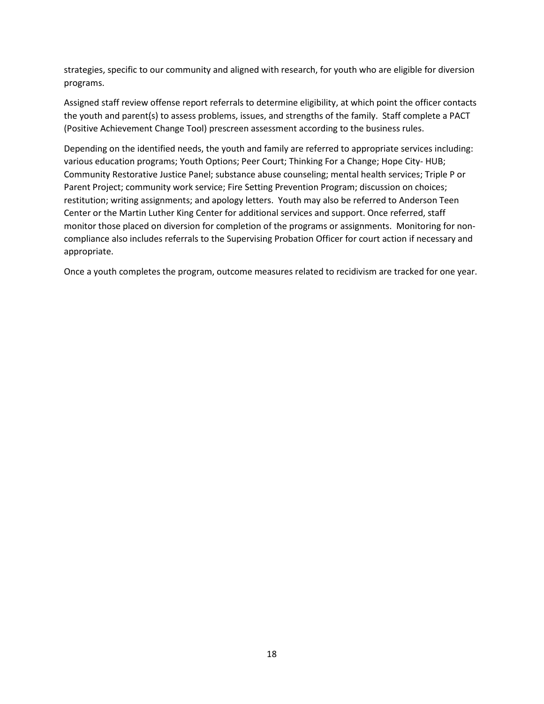strategies, specific to our community and aligned with research, for youth who are eligible for diversion programs.

Assigned staff review offense report referrals to determine eligibility, at which point the officer contacts the youth and parent(s) to assess problems, issues, and strengths of the family. Staff complete a PACT (Positive Achievement Change Tool) prescreen assessment according to the business rules.

Depending on the identified needs, the youth and family are referred to appropriate services including: various education programs; Youth Options; Peer Court; Thinking For a Change; Hope City- HUB; Community Restorative Justice Panel; substance abuse counseling; mental health services; Triple P or Parent Project; community work service; Fire Setting Prevention Program; discussion on choices; restitution; writing assignments; and apology letters. Youth may also be referred to Anderson Teen Center or the Martin Luther King Center for additional services and support. Once referred, staff monitor those placed on diversion for completion of the programs or assignments. Monitoring for noncompliance also includes referrals to the Supervising Probation Officer for court action if necessary and appropriate.

Once a youth completes the program, outcome measures related to recidivism are tracked for one year.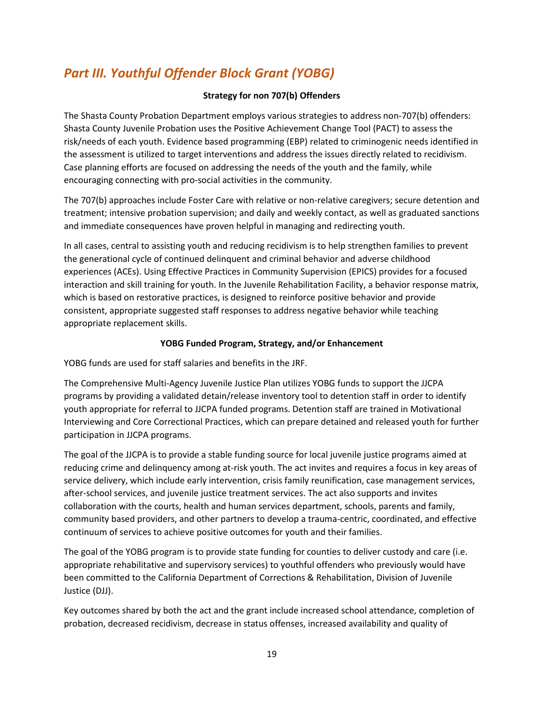### *Part III. Youthful Offender Block Grant (YOBG)*

#### **Strategy for non 707(b) Offenders**

The Shasta County Probation Department employs various strategies to address non-707(b) offenders: Shasta County Juvenile Probation uses the Positive Achievement Change Tool (PACT) to assess the risk/needs of each youth. Evidence based programming (EBP) related to criminogenic needs identified in the assessment is utilized to target interventions and address the issues directly related to recidivism. Case planning efforts are focused on addressing the needs of the youth and the family, while encouraging connecting with pro-social activities in the community.

The 707(b) approaches include Foster Care with relative or non-relative caregivers; secure detention and treatment; intensive probation supervision; and daily and weekly contact, as well as graduated sanctions and immediate consequences have proven helpful in managing and redirecting youth.

In all cases, central to assisting youth and reducing recidivism is to help strengthen families to prevent the generational cycle of continued delinquent and criminal behavior and adverse childhood experiences (ACEs). Using Effective Practices in Community Supervision (EPICS) provides for a focused interaction and skill training for youth. In the Juvenile Rehabilitation Facility, a behavior response matrix, which is based on restorative practices, is designed to reinforce positive behavior and provide consistent, appropriate suggested staff responses to address negative behavior while teaching appropriate replacement skills.

#### **YOBG Funded Program, Strategy, and/or Enhancement**

YOBG funds are used for staff salaries and benefits in the JRF.

The Comprehensive Multi-Agency Juvenile Justice Plan utilizes YOBG funds to support the JJCPA programs by providing a validated detain/release inventory tool to detention staff in order to identify youth appropriate for referral to JJCPA funded programs. Detention staff are trained in Motivational Interviewing and Core Correctional Practices, which can prepare detained and released youth for further participation in JJCPA programs.

The goal of the JJCPA is to provide a stable funding source for local juvenile justice programs aimed at reducing crime and delinquency among at-risk youth. The act invites and requires a focus in key areas of service delivery, which include early intervention, crisis family reunification, case management services, after-school services, and juvenile justice treatment services. The act also supports and invites collaboration with the courts, health and human services department, schools, parents and family, community based providers, and other partners to develop a trauma-centric, coordinated, and effective continuum of services to achieve positive outcomes for youth and their families.

The goal of the YOBG program is to provide state funding for counties to deliver custody and care (i.e. appropriate rehabilitative and supervisory services) to youthful offenders who previously would have been committed to the California Department of Corrections & Rehabilitation, Division of Juvenile Justice (DJJ).

Key outcomes shared by both the act and the grant include increased school attendance, completion of probation, decreased recidivism, decrease in status offenses, increased availability and quality of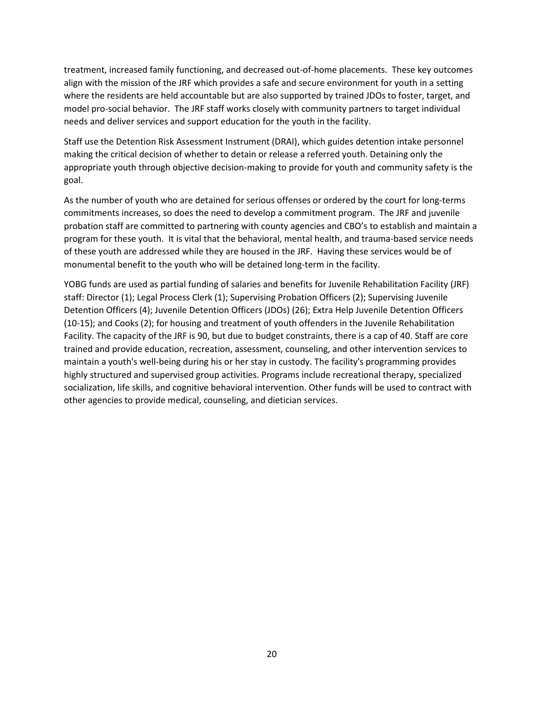treatment, increased family functioning, and decreased out-of-home placements. These key outcomes align with the mission of the JRF which provides a safe and secure environment for youth in a setting where the residents are held accountable but are also supported by trained JDOs to foster, target, and model pro-social behavior. The JRF staff works closely with community partners to target individual needs and deliver services and support education for the youth in the facility.

Staff use the Detention Risk Assessment Instrument (DRAI), which guides detention intake personnel making the critical decision of whether to detain or release a referred youth. Detaining only the appropriate youth through objective decision-making to provide for youth and community safety is the goal.

As the number of youth who are detained for serious offenses or ordered by the court for long-terms commitments increases, so does the need to develop a commitment program. The JRF and juvenile probation staff are committed to partnering with county agencies and CBO's to establish and maintain a program for these youth. It is vital that the behavioral, mental health, and trauma-based service needs of these youth are addressed while they are housed in the JRF. Having these services would be of monumental benefit to the youth who will be detained long-term in the facility.

YOBG funds are used as partial funding of salaries and benefits for Juvenile Rehabilitation Facility (JRF) staff: Director (1); Legal Process Clerk (1); Supervising Probation Officers (2); Supervising Juvenile Detention Officers (4); Juvenile Detention Officers (JDOs) (26); Extra Help Juvenile Detention Officers (10-15); and Cooks (2); for housing and treatment of youth offenders in the Juvenile Rehabilitation Facility. The capacity of the JRF is 90, but due to budget constraints, there is a cap of 40. Staff are core trained and provide education, recreation, assessment, counseling, and other intervention services to maintain a youth's well-being during his or her stay in custody. The facility's programming provides highly structured and supervised group activities. Programs include recreational therapy, specialized socialization, life skills, and cognitive behavioral intervention. Other funds will be used to contract with other agencies to provide medical, counseling, and dietician services.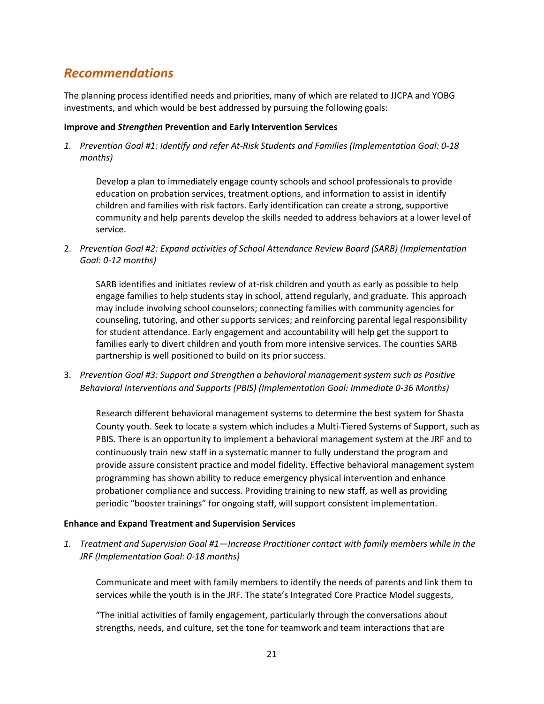### *Recommendations*

The planning process identified needs and priorities, many of which are related to JJCPA and YOBG investments, and which would be best addressed by pursuing the following goals:

#### **Improve and** *Strengthen* **Prevention and Early Intervention Services**

*1. Prevention Goal #1: Identify and refer At-Risk Students and Families (Implementation Goal: 0-18 months)*

Develop a plan to immediately engage county schools and school professionals to provide education on probation services, treatment options, and information to assist in identify children and families with risk factors. Early identification can create a strong, supportive community and help parents develop the skills needed to address behaviors at a lower level of service.

2. *Prevention Goal #2: Expand activities of School Attendance Review Board (SARB) (Implementation Goal: 0-12 months)*

SARB identifies and initiates review of at-risk children and youth as early as possible to help engage families to help students stay in school, attend regularly, and graduate. This approach may include involving school counselors; connecting families with community agencies for counseling, tutoring, and other supports services; and reinforcing parental legal responsibility for student attendance. Early engagement and accountability will help get the support to families early to divert children and youth from more intensive services. The counties SARB partnership is well positioned to build on its prior success.

3. *Prevention Goal #3: Support and Strengthen a behavioral management system such as Positive Behavioral Interventions and Supports (PBIS) (Implementation Goal: Immediate 0-36 Months)* 

Research different behavioral management systems to determine the best system for Shasta County youth. Seek to locate a system which includes a Multi-Tiered Systems of Support, such as PBIS. There is an opportunity to implement a behavioral management system at the JRF and to continuously train new staff in a systematic manner to fully understand the program and provide assure consistent practice and model fidelity. Effective behavioral management system programming has shown ability to reduce emergency physical intervention and enhance probationer compliance and success. Providing training to new staff, as well as providing periodic "booster trainings" for ongoing staff, will support consistent implementation.

#### **Enhance and Expand Treatment and Supervision Services**

*1. Treatment and Supervision Goal #1—Increase Practitioner contact with family members while in the JRF (Implementation Goal: 0-18 months)*

Communicate and meet with family members to identify the needs of parents and link them to services while the youth is in the JRF. The state's Integrated Core Practice Model suggests,

"The initial activities of family engagement, particularly through the conversations about strengths, needs, and culture, set the tone for teamwork and team interactions that are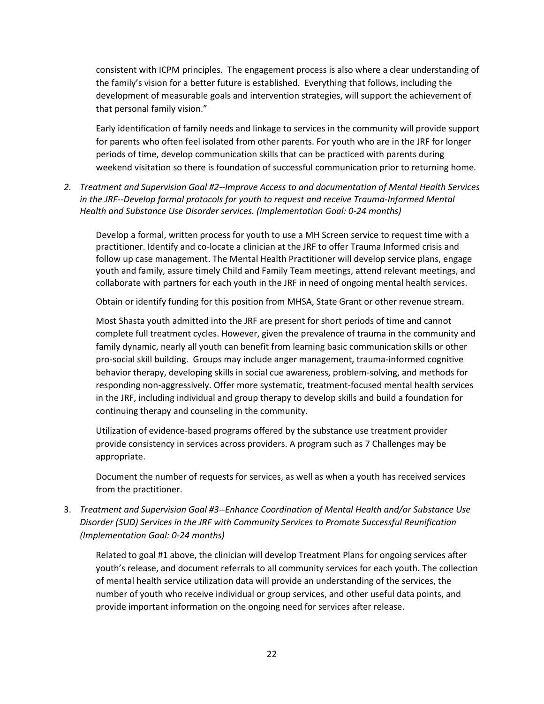consistent with ICPM principles. The engagement process is also where a clear understanding of the family's vision for a better future is established. Everything that follows, including the development of measurable goals and intervention strategies, will support the achievement of that personal family vision."

Early identification of family needs and linkage to services in the community will provide support for parents who often feel isolated from other parents. For youth who are in the JRF for longer periods of time, develop communication skills that can be practiced with parents during weekend visitation so there is foundation of successful communication prior to returning home*.* 

*2. Treatment and Supervision Goal #2--Improve Access to and documentation of Mental Health Services in the JRF--Develop formal protocols for youth to request and receive Trauma-Informed Mental Health and Substance Use Disorder services. (Implementation Goal: 0-24 months)*

Develop a formal, written process for youth to use a MH Screen service to request time with a practitioner. Identify and co-locate a clinician at the JRF to offer Trauma Informed crisis and follow up case management. The Mental Health Practitioner will develop service plans, engage youth and family, assure timely Child and Family Team meetings, attend relevant meetings, and collaborate with partners for each youth in the JRF in need of ongoing mental health services.

Obtain or identify funding for this position from MHSA, State Grant or other revenue stream.

Most Shasta youth admitted into the JRF are present for short periods of time and cannot complete full treatment cycles. However, given the prevalence of trauma in the community and family dynamic, nearly all youth can benefit from learning basic communication skills or other pro-social skill building. Groups may include anger management, trauma-informed cognitive behavior therapy, developing skills in social cue awareness, problem-solving, and methods for responding non-aggressively. Offer more systematic, treatment-focused mental health services in the JRF, including individual and group therapy to develop skills and build a foundation for continuing therapy and counseling in the community.

Utilization of evidence-based programs offered by the substance use treatment provider provide consistency in services across providers. A program such as 7 Challenges may be appropriate.

Document the number of requests for services, as well as when a youth has received services from the practitioner.

3. *Treatment and Supervision Goal #3--Enhance Coordination of Mental Health and/or Substance Use Disorder (SUD) Services in the JRF with Community Services to Promote Successful Reunification (Implementation Goal: 0-24 months)*

Related to goal #1 above, the clinician will develop Treatment Plans for ongoing services after youth's release, and document referrals to all community services for each youth. The collection of mental health service utilization data will provide an understanding of the services, the number of youth who receive individual or group services, and other useful data points, and provide important information on the ongoing need for services after release.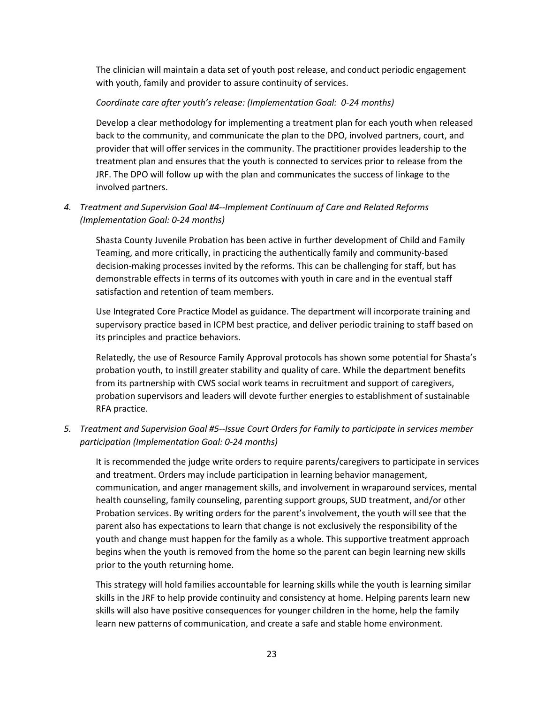The clinician will maintain a data set of youth post release, and conduct periodic engagement with youth, family and provider to assure continuity of services.

#### *Coordinate care after youth's release: (Implementation Goal: 0-24 months)*

Develop a clear methodology for implementing a treatment plan for each youth when released back to the community, and communicate the plan to the DPO, involved partners, court, and provider that will offer services in the community. The practitioner provides leadership to the treatment plan and ensures that the youth is connected to services prior to release from the JRF. The DPO will follow up with the plan and communicates the success of linkage to the involved partners.

#### *4. Treatment and Supervision Goal #4--Implement Continuum of Care and Related Reforms (Implementation Goal: 0-24 months)*

Shasta County Juvenile Probation has been active in further development of Child and Family Teaming, and more critically, in practicing the authentically family and community-based decision-making processes invited by the reforms. This can be challenging for staff, but has demonstrable effects in terms of its outcomes with youth in care and in the eventual staff satisfaction and retention of team members.

Use Integrated Core Practice Model as guidance. The department will incorporate training and supervisory practice based in ICPM best practice, and deliver periodic training to staff based on its principles and practice behaviors.

Relatedly, the use of Resource Family Approval protocols has shown some potential for Shasta's probation youth, to instill greater stability and quality of care. While the department benefits from its partnership with CWS social work teams in recruitment and support of caregivers, probation supervisors and leaders will devote further energies to establishment of sustainable RFA practice.

*5. Treatment and Supervision Goal #5--Issue Court Orders for Family to participate in services member participation (Implementation Goal: 0-24 months)*

It is recommended the judge write orders to require parents/caregivers to participate in services and treatment. Orders may include participation in learning behavior management, communication, and anger management skills, and involvement in wraparound services, mental health counseling, family counseling, parenting support groups, SUD treatment, and/or other Probation services. By writing orders for the parent's involvement, the youth will see that the parent also has expectations to learn that change is not exclusively the responsibility of the youth and change must happen for the family as a whole. This supportive treatment approach begins when the youth is removed from the home so the parent can begin learning new skills prior to the youth returning home.

This strategy will hold families accountable for learning skills while the youth is learning similar skills in the JRF to help provide continuity and consistency at home. Helping parents learn new skills will also have positive consequences for younger children in the home, help the family learn new patterns of communication, and create a safe and stable home environment.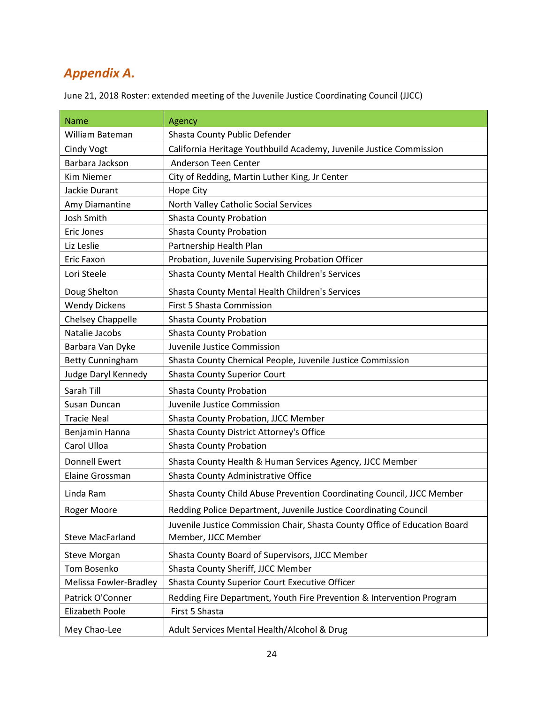### *Appendix A.*

| June 21, 2018 Roster: extended meeting of the Juvenile Justice Coordinating Council (JJCC) |
|--------------------------------------------------------------------------------------------|
|--------------------------------------------------------------------------------------------|

| <b>Name</b>              | Agency                                                                     |  |
|--------------------------|----------------------------------------------------------------------------|--|
| William Bateman          | Shasta County Public Defender                                              |  |
| <b>Cindy Vogt</b>        | California Heritage Youthbuild Academy, Juvenile Justice Commission        |  |
| Barbara Jackson          | Anderson Teen Center                                                       |  |
| <b>Kim Niemer</b>        | City of Redding, Martin Luther King, Jr Center                             |  |
| Jackie Durant            | <b>Hope City</b>                                                           |  |
| Amy Diamantine           | North Valley Catholic Social Services                                      |  |
| <b>Josh Smith</b>        | <b>Shasta County Probation</b>                                             |  |
| Eric Jones               | <b>Shasta County Probation</b>                                             |  |
| Liz Leslie               | Partnership Health Plan                                                    |  |
| Eric Faxon               | Probation, Juvenile Supervising Probation Officer                          |  |
| Lori Steele              | Shasta County Mental Health Children's Services                            |  |
| Doug Shelton             | Shasta County Mental Health Children's Services                            |  |
| <b>Wendy Dickens</b>     | <b>First 5 Shasta Commission</b>                                           |  |
| <b>Chelsey Chappelle</b> | <b>Shasta County Probation</b>                                             |  |
| Natalie Jacobs           | <b>Shasta County Probation</b>                                             |  |
| Barbara Van Dyke         | Juvenile Justice Commission                                                |  |
| <b>Betty Cunningham</b>  | Shasta County Chemical People, Juvenile Justice Commission                 |  |
| Judge Daryl Kennedy      | <b>Shasta County Superior Court</b>                                        |  |
| Sarah Till               | <b>Shasta County Probation</b>                                             |  |
| Susan Duncan             | Juvenile Justice Commission                                                |  |
| <b>Tracie Neal</b>       | Shasta County Probation, JJCC Member                                       |  |
| Benjamin Hanna           | Shasta County District Attorney's Office                                   |  |
| Carol Ulloa              | <b>Shasta County Probation</b>                                             |  |
| <b>Donnell Ewert</b>     | Shasta County Health & Human Services Agency, JJCC Member                  |  |
| Elaine Grossman          | Shasta County Administrative Office                                        |  |
| Linda Ram                | Shasta County Child Abuse Prevention Coordinating Council, JJCC Member     |  |
| Roger Moore              | Redding Police Department, Juvenile Justice Coordinating Council           |  |
|                          | Juvenile Justice Commission Chair, Shasta County Office of Education Board |  |
| <b>Steve MacFarland</b>  | Member, JJCC Member                                                        |  |
| <b>Steve Morgan</b>      | Shasta County Board of Supervisors, JJCC Member                            |  |
| Tom Bosenko              | Shasta County Sheriff, JJCC Member                                         |  |
| Melissa Fowler-Bradley   | Shasta County Superior Court Executive Officer                             |  |
| Patrick O'Conner         | Redding Fire Department, Youth Fire Prevention & Intervention Program      |  |
| <b>Elizabeth Poole</b>   | First 5 Shasta                                                             |  |
| Mey Chao-Lee             | Adult Services Mental Health/Alcohol & Drug                                |  |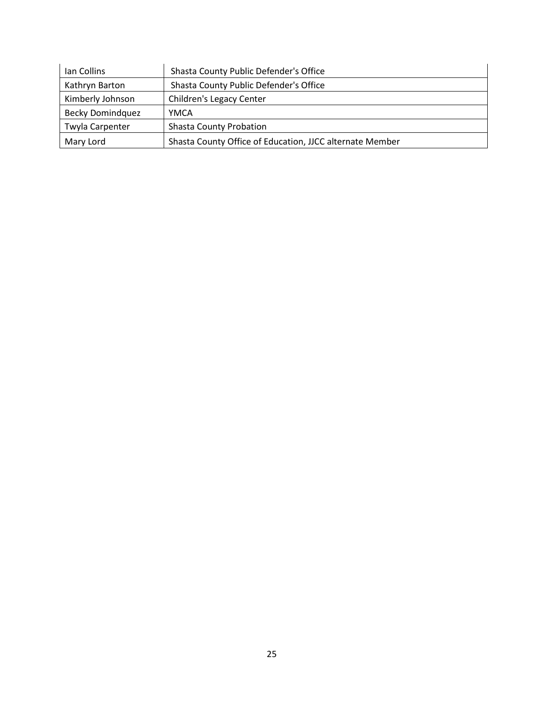| lan Collins             | Shasta County Public Defender's Office                   |  |
|-------------------------|----------------------------------------------------------|--|
| Kathryn Barton          | Shasta County Public Defender's Office                   |  |
| Kimberly Johnson        | Children's Legacy Center                                 |  |
| <b>Becky Domindquez</b> | YMCA                                                     |  |
| Twyla Carpenter         | <b>Shasta County Probation</b>                           |  |
| Mary Lord               | Shasta County Office of Education, JJCC alternate Member |  |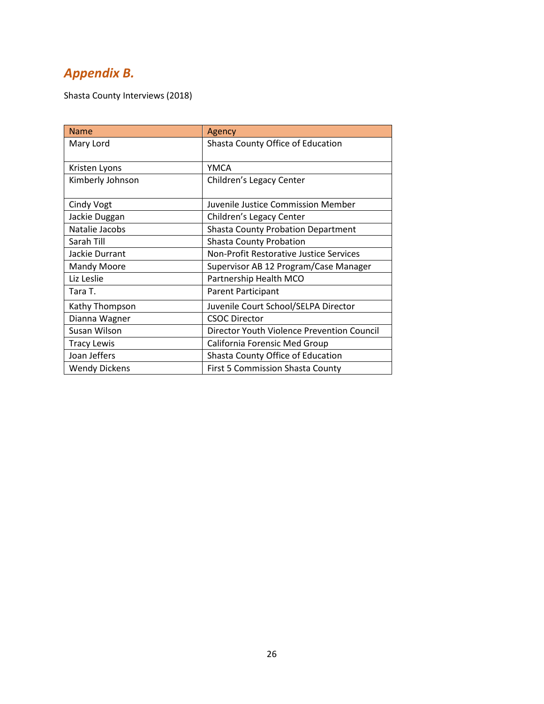### *Appendix B.*

Shasta County Interviews (2018)

| <b>Name</b>          | Agency                                     |
|----------------------|--------------------------------------------|
| Mary Lord            | Shasta County Office of Education          |
|                      |                                            |
| Kristen Lyons        | <b>YMCA</b>                                |
| Kimberly Johnson     | Children's Legacy Center                   |
|                      |                                            |
| Cindy Vogt           | Juvenile Justice Commission Member         |
| Jackie Duggan        | Children's Legacy Center                   |
| Natalie Jacobs       | <b>Shasta County Probation Department</b>  |
| Sarah Till           | <b>Shasta County Probation</b>             |
| Jackie Durrant       | Non-Profit Restorative Justice Services    |
| Mandy Moore          | Supervisor AB 12 Program/Case Manager      |
| Liz Leslie           | Partnership Health MCO                     |
| Tara T.              | Parent Participant                         |
| Kathy Thompson       | Juvenile Court School/SELPA Director       |
| Dianna Wagner        | <b>CSOC Director</b>                       |
| Susan Wilson         | Director Youth Violence Prevention Council |
| <b>Tracy Lewis</b>   | California Forensic Med Group              |
| Joan Jeffers         | Shasta County Office of Education          |
| <b>Wendy Dickens</b> | <b>First 5 Commission Shasta County</b>    |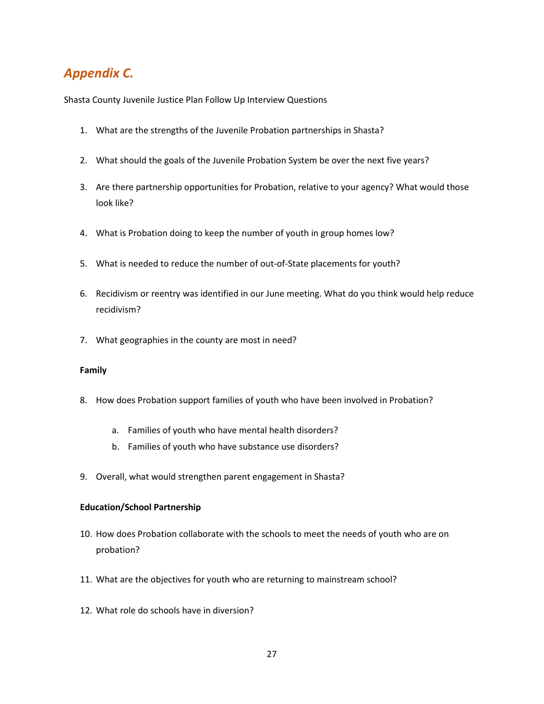### *Appendix C.*

Shasta County Juvenile Justice Plan Follow Up Interview Questions

- 1. What are the strengths of the Juvenile Probation partnerships in Shasta?
- 2. What should the goals of the Juvenile Probation System be over the next five years?
- 3. Are there partnership opportunities for Probation, relative to your agency? What would those look like?
- 4. What is Probation doing to keep the number of youth in group homes low?
- 5. What is needed to reduce the number of out-of-State placements for youth?
- 6. Recidivism or reentry was identified in our June meeting. What do you think would help reduce recidivism?
- 7. What geographies in the county are most in need?

#### **Family**

- 8. How does Probation support families of youth who have been involved in Probation?
	- a. Families of youth who have mental health disorders?
	- b. Families of youth who have substance use disorders?
- 9. Overall, what would strengthen parent engagement in Shasta?

#### **Education/School Partnership**

- 10. How does Probation collaborate with the schools to meet the needs of youth who are on probation?
- 11. What are the objectives for youth who are returning to mainstream school?
- 12. What role do schools have in diversion?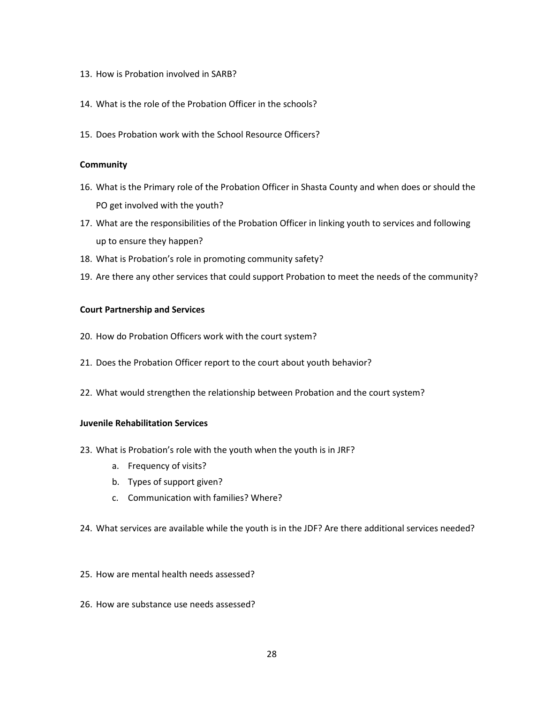- 13. How is Probation involved in SARB?
- 14. What is the role of the Probation Officer in the schools?
- 15. Does Probation work with the School Resource Officers?

#### **Community**

- 16. What is the Primary role of the Probation Officer in Shasta County and when does or should the PO get involved with the youth?
- 17. What are the responsibilities of the Probation Officer in linking youth to services and following up to ensure they happen?
- 18. What is Probation's role in promoting community safety?
- 19. Are there any other services that could support Probation to meet the needs of the community?

#### **Court Partnership and Services**

- 20. How do Probation Officers work with the court system?
- 21. Does the Probation Officer report to the court about youth behavior?
- 22. What would strengthen the relationship between Probation and the court system?

#### **Juvenile Rehabilitation Services**

- 23. What is Probation's role with the youth when the youth is in JRF?
	- a. Frequency of visits?
	- b. Types of support given?
	- c. Communication with families? Where?
- 24. What services are available while the youth is in the JDF? Are there additional services needed?
- 25. How are mental health needs assessed?
- 26. How are substance use needs assessed?